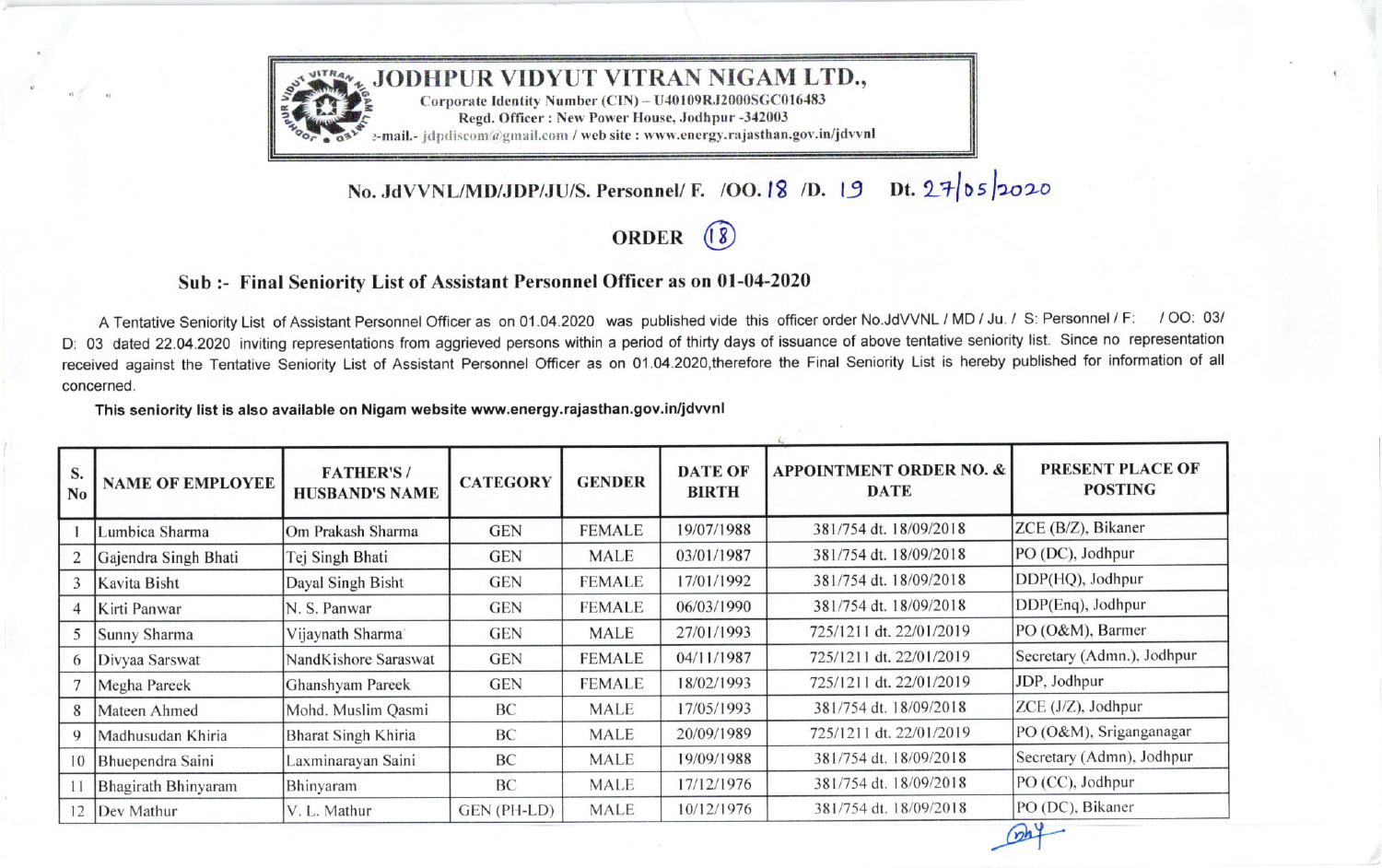

## No. JdVVNL/MD/JDP/JU/S. Personnel/ F. /OO. 18 /D. 19 Dt.  $27|05|2020$

ORDER (8)

## Sub :- Final Seniority List of Assistant Personnel Officer as on 01-04-2020

A Tentative Seniority List of Assistant Personnel Officer as on 01.04.2020 was published vide this officer order No.JdVVNL / MD / Ju. / S: Personnel / F: / OO: 03/ D: 03 dated 22.04.2020 inviting representations from aggrieved persons within a period of thirty days of issuance of above tentative seniority list. Since no representation received against the Tentative Seniority List of Assistant Personnel Officer as on 01 .O4.2o2o,therefore the Final Seniority List is hereby published for information of all concerned.

## This seniority list is also available on Nigam website www.energy.raiasthan.gov.in/idwnl

| S.<br>N <sub>o</sub> | <b>NAME OF EMPLOYEE</b> | <b>FATHER'S/</b><br><b>HUSBAND'S NAME</b> | <b>CATEGORY</b> | <b>GENDER</b> | <b>DATE OF</b><br><b>BIRTH</b> | <b>APPOINTMENT ORDER NO. &amp;</b><br><b>DATE</b> | PRESENT PLACE OF<br><b>POSTING</b> |
|----------------------|-------------------------|-------------------------------------------|-----------------|---------------|--------------------------------|---------------------------------------------------|------------------------------------|
|                      | Lumbica Sharma          | Om Prakash Sharma                         | <b>GEN</b>      | <b>FEMALE</b> | 19/07/1988                     | 381/754 dt. 18/09/2018                            | ZCE (B/Z), Bikaner                 |
|                      | Gajendra Singh Bhati    | Tej Singh Bhati                           | <b>GEN</b>      | MALE          | 03/01/1987                     | 381/754 dt. 18/09/2018                            | PO (DC), Jodhpur                   |
| 3                    | Kavita Bisht            | Dayal Singh Bisht                         | <b>GEN</b>      | <b>FEMALE</b> | 17/01/1992                     | 381/754 dt. 18/09/2018                            | DDP(HQ), Jodhpur                   |
|                      | Kirti Panwar            | N. S. Panwar                              | <b>GEN</b>      | <b>FEMALE</b> | 06/03/1990                     | 381/754 dt. 18/09/2018                            | DDP(Enq), Jodhpur                  |
|                      | Sunny Sharma            | Vijaynath Sharma                          | <b>GEN</b>      | <b>MALE</b>   | 27/01/1993                     | 725/1211 dt. 22/01/2019                           | PO (O&M), Barmer                   |
| 6                    | Divyaa Sarswat          | NandKishore Saraswat                      | <b>GEN</b>      | <b>FEMALE</b> | 04/11/1987                     | 725/1211 dt. 22/01/2019                           | Secretary (Admn.), Jodhpur         |
|                      | Megha Pareek            | Ghanshyam Pareek                          | <b>GEN</b>      | <b>FEMALE</b> | 18/02/1993                     | 725/1211 dt. 22/01/2019                           | JDP, Jodhpur                       |
| 8                    | Mateen Ahmed            | Mohd. Muslim Qasmi                        | BC              | <b>MALE</b>   | 17/05/1993                     | 381/754 dt. 18/09/2018                            | ZCE (J/Z), Jodhpur                 |
| 9                    | Madhusudan Khiria       | Bharat Singh Khiria                       | BC              | <b>MALE</b>   | 20/09/1989                     | 725/1211 dt. 22/01/2019                           | PO (O&M), Sriganganagar            |
| 10                   | Bhuependra Saini        | Laxminarayan Saini                        | BC              | <b>MALE</b>   | 19/09/1988                     | 381/754 dt. 18/09/2018                            | Secretary (Admn), Jodhpur          |
|                      | Bhagirath Bhinyaram     | Bhinyaram                                 | BC              | <b>MALE</b>   | 17/12/1976                     | 381/754 dt. 18/09/2018                            | PO (CC), Jodhpur                   |
| 12                   | Dev Mathur              | V. L. Mathur                              | GEN (PH-LD)     | MALE          | 10/12/1976                     | 381/754 dt. 18/09/2018                            | PO (DC), Bikaner                   |
|                      |                         |                                           |                 |               |                                |                                                   | $n+$                               |